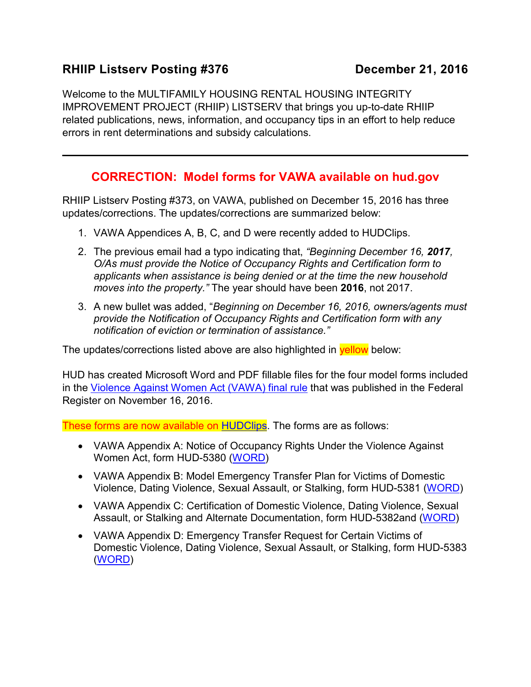## **RHIIP Listserv Posting #376 December 21, 2016**

Welcome to the MULTIFAMILY HOUSING RENTAL HOUSING INTEGRITY IMPROVEMENT PROJECT (RHIIP) LISTSERV that brings you up-to-date RHIIP related publications, news, information, and occupancy tips in an effort to help reduce errors in rent determinations and subsidy calculations.

## **CORRECTION: Model forms for VAWA available on hud.gov**

RHIIP Listserv Posting #373, on VAWA, published on December 15, 2016 has three updates/corrections. The updates/corrections are summarized below:

- 1. VAWA Appendices A, B, C, and D were recently added to HUDClips.
- 2. The previous email had a typo indicating that, *"Beginning December 16, 2017, O/As must provide the Notice of Occupancy Rights and Certification form to applicants when assistance is being denied or at the time the new household moves into the property."* The year should have been **2016**, not 2017.
- 3. A new bullet was added, "*Beginning on December 16, 2016, owners/agents must provide the Notification of Occupancy Rights and Certification form with any notification of eviction or termination of assistance."*

The updates/corrections listed above are also highlighted in **yellow** below:

HUD has created Microsoft Word and PDF fillable files for the four model forms included in the [Violence Against Women Act \(VAWA\) final rule](https://www.gpo.gov/fdsys/pkg/FR-2016-11-16/pdf/2016-25888.pdf) that was published in the Federal Register on November 16, 2016.

These forms are now available on [HUDClips.](https://portal.hud.gov/hudportal/HUD?src=/program_offices/administration/hudclips/forms/hud5a) The forms are as follows:

- VAWA Appendix A: Notice of Occupancy Rights Under the Violence Against Women Act, form HUD-5380 [\(WORD\)](https://portal.hud.gov/hudportal/documents/huddoc?id=5380.docx)
- VAWA Appendix B: Model Emergency Transfer Plan for Victims of Domestic Violence, Dating Violence, Sexual Assault, or Stalking, form HUD-5381 [\(WORD\)](https://portal.hud.gov/hudportal/documents/huddoc?id=5381.docx)
- VAWA Appendix C: Certification of Domestic Violence, Dating Violence, Sexual Assault, or Stalking and Alternate Documentation, form HUD-5382and [\(WORD\)](https://portal.hud.gov/hudportal/documents/huddoc?id=5382.docx)
- VAWA Appendix D: Emergency Transfer Request for Certain Victims of Domestic Violence, Dating Violence, Sexual Assault, or Stalking, form HUD-5383 [\(WORD\)](https://portal.hud.gov/hudportal/documents/huddoc?id=5383.docx)